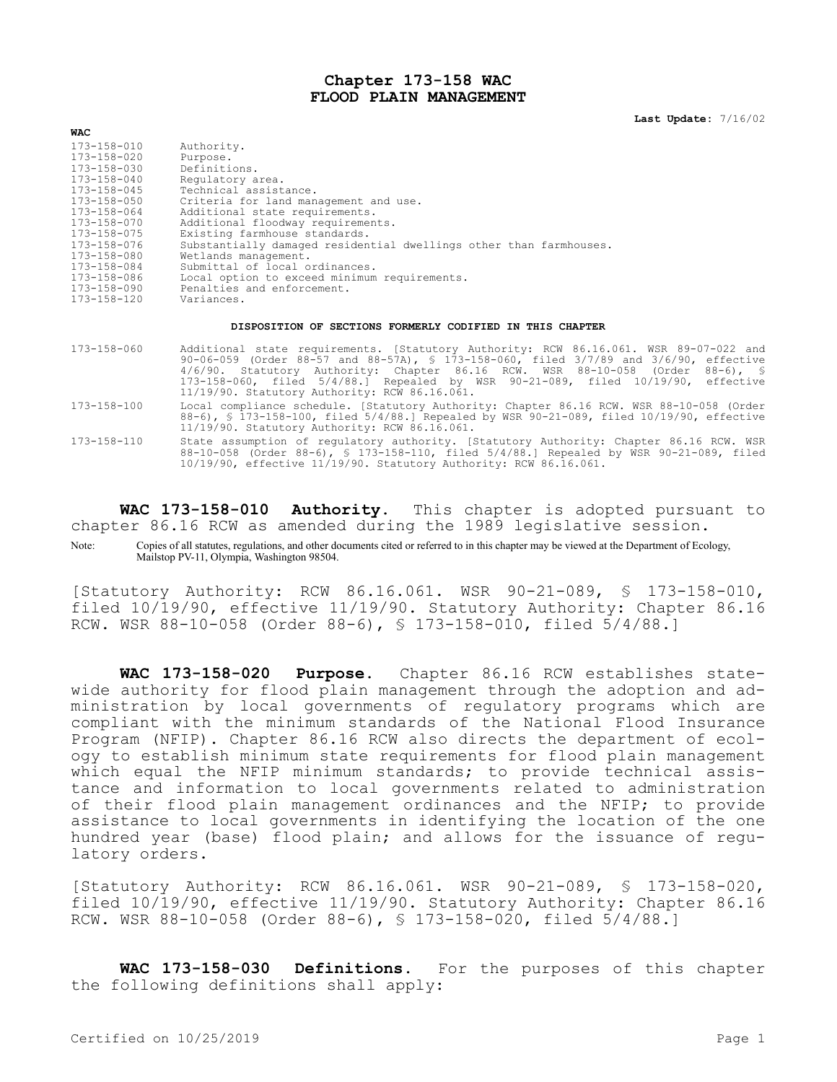## **Chapter 173-158 WAC FLOOD PLAIN MANAGEMENT**

**Last Update:** 7/16/02

| <b>WAC</b>        |                                                                    |
|-------------------|--------------------------------------------------------------------|
| 173-158-010       | Authority.                                                         |
| $173 - 158 - 020$ | Purpose.                                                           |
| $173 - 158 - 030$ | Definitions.                                                       |
| $173 - 158 - 040$ | Requlatory area.                                                   |
| $173 - 158 - 045$ | Technical assistance.                                              |
| 173-158-050       | Criteria for land management and use.                              |
| $173 - 158 - 064$ | Additional state requirements.                                     |
| 173-158-070       | Additional floodway requirements.                                  |
| 173-158-075       | Existing farmhouse standards.                                      |
| 173-158-076       | Substantially damaged residential dwellings other than farmhouses. |
| 173-158-080       | Wetlands management.                                               |
| 173-158-084       | Submittal of local ordinances.                                     |
| 173-158-086       | Local option to exceed minimum requirements.                       |
| 173-158-090       | Penalties and enforcement.                                         |
| $173 - 158 - 120$ | Variances.                                                         |

## **DISPOSITION OF SECTIONS FORMERLY CODIFIED IN THIS CHAPTER**

| 173-158-060       | Additional state requirements. [Statutory Authority: RCW 86.16.061. WSR 89-07-022 and                                                                                                                                                                        |
|-------------------|--------------------------------------------------------------------------------------------------------------------------------------------------------------------------------------------------------------------------------------------------------------|
|                   | 90-06-059 (Order 88-57 and 88-57A), § 173-158-060, filed 3/7/89 and 3/6/90, effective                                                                                                                                                                        |
|                   | $4/6/90$ . Statutory Authority: Chapter 86.16 RCW. WSR 88-10-058 (Order 88-6), §                                                                                                                                                                             |
|                   | 173-158-060, filed 5/4/88.1 Repealed by WSR 90-21-089, filed 10/19/90, effective                                                                                                                                                                             |
|                   | $11/19/90$ . Statutory Authority: RCW 86.16.061.                                                                                                                                                                                                             |
| 173-158-100       | Local compliance schedule. [Statutory Authority: Chapter 86.16 RCW. WSR 88-10-058 (Order<br>88-6), \$ 173-158-100, filed 5/4/88.] Repealed by WSR 90-21-089, filed 10/19/90, effective<br>$11/19/90$ . Statutory Authority: RCW 86.16.061.                   |
| $173 - 158 - 110$ | State assumption of regulatory authority. [Statutory Authority: Chapter 86.16 RCW. WSR<br>88-10-058 (Order 88-6), \$ 173-158-110, filed 5/4/88.] Repealed by WSR 90-21-089, filed<br>$10/19/90$ , effective $11/19/90$ . Statutory Authority: RCW 86.16.061. |

**WAC 173-158-010 Authority.** This chapter is adopted pursuant to chapter 86.16 RCW as amended during the 1989 legislative session. Note: Copies of all statutes, regulations, and other documents cited or referred to in this chapter may be viewed at the Department of Ecology, Mailstop PV-11, Olympia, Washington 98504.

[Statutory Authority: RCW 86.16.061. WSR 90-21-089, § 173-158-010, filed 10/19/90, effective 11/19/90. Statutory Authority: Chapter 86.16 RCW. WSR 88-10-058 (Order 88-6), § 173-158-010, filed 5/4/88.]

**WAC 173-158-020 Purpose.** Chapter 86.16 RCW establishes statewide authority for flood plain management through the adoption and administration by local governments of regulatory programs which are compliant with the minimum standards of the National Flood Insurance Program (NFIP). Chapter 86.16 RCW also directs the department of ecology to establish minimum state requirements for flood plain management which equal the NFIP minimum standards; to provide technical assistance and information to local governments related to administration of their flood plain management ordinances and the NFIP; to provide assistance to local governments in identifying the location of the one hundred year (base) flood plain; and allows for the issuance of regulatory orders.

[Statutory Authority: RCW 86.16.061. WSR 90-21-089, § 173-158-020, filed 10/19/90, effective 11/19/90. Statutory Authority: Chapter 86.16 RCW. WSR 88-10-058 (Order 88-6), § 173-158-020, filed 5/4/88.]

**WAC 173-158-030 Definitions.** For the purposes of this chapter the following definitions shall apply: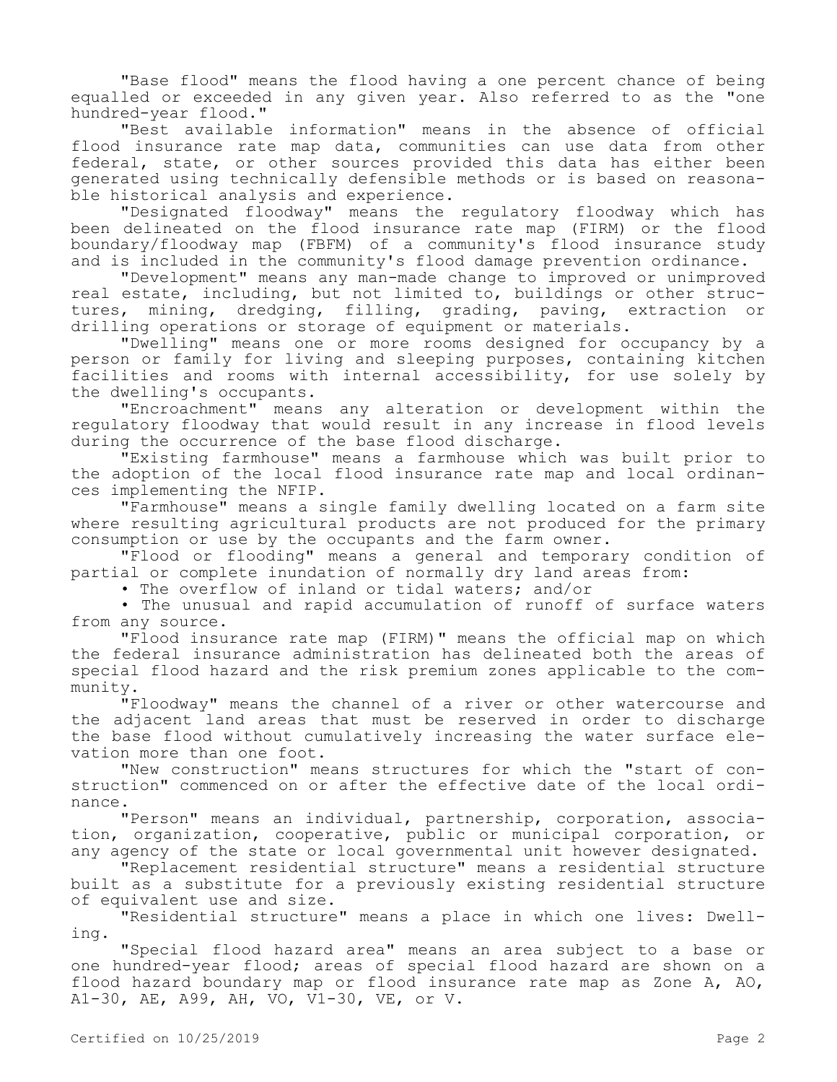"Base flood" means the flood having a one percent chance of being equalled or exceeded in any given year. Also referred to as the "one hundred-year flood."

"Best available information" means in the absence of official flood insurance rate map data, communities can use data from other federal, state, or other sources provided this data has either been generated using technically defensible methods or is based on reasonable historical analysis and experience.

"Designated floodway" means the regulatory floodway which has been delineated on the flood insurance rate map (FIRM) or the flood boundary/floodway map (FBFM) of a community's flood insurance study and is included in the community's flood damage prevention ordinance.

"Development" means any man-made change to improved or unimproved real estate, including, but not limited to, buildings or other structures, mining, dredging, filling, grading, paving, extraction or drilling operations or storage of equipment or materials.

"Dwelling" means one or more rooms designed for occupancy by a person or family for living and sleeping purposes, containing kitchen facilities and rooms with internal accessibility, for use solely by the dwelling's occupants.

"Encroachment" means any alteration or development within the regulatory floodway that would result in any increase in flood levels during the occurrence of the base flood discharge.

"Existing farmhouse" means a farmhouse which was built prior to the adoption of the local flood insurance rate map and local ordinances implementing the NFIP.

"Farmhouse" means a single family dwelling located on a farm site where resulting agricultural products are not produced for the primary consumption or use by the occupants and the farm owner.

"Flood or flooding" means a general and temporary condition of partial or complete inundation of normally dry land areas from:

• The overflow of inland or tidal waters; and/or

• The unusual and rapid accumulation of runoff of surface waters from any source.

"Flood insurance rate map (FIRM)" means the official map on which the federal insurance administration has delineated both the areas of special flood hazard and the risk premium zones applicable to the community.

"Floodway" means the channel of a river or other watercourse and the adjacent land areas that must be reserved in order to discharge the base flood without cumulatively increasing the water surface elevation more than one foot.

"New construction" means structures for which the "start of construction" commenced on or after the effective date of the local ordinance.

"Person" means an individual, partnership, corporation, association, organization, cooperative, public or municipal corporation, or any agency of the state or local governmental unit however designated.

"Replacement residential structure" means a residential structure built as a substitute for a previously existing residential structure of equivalent use and size.

"Residential structure" means a place in which one lives: Dwelling.

"Special flood hazard area" means an area subject to a base or one hundred-year flood; areas of special flood hazard are shown on a flood hazard boundary map or flood insurance rate map as Zone A, AO, A1-30, AE, A99, AH, VO, V1-30, VE, or V.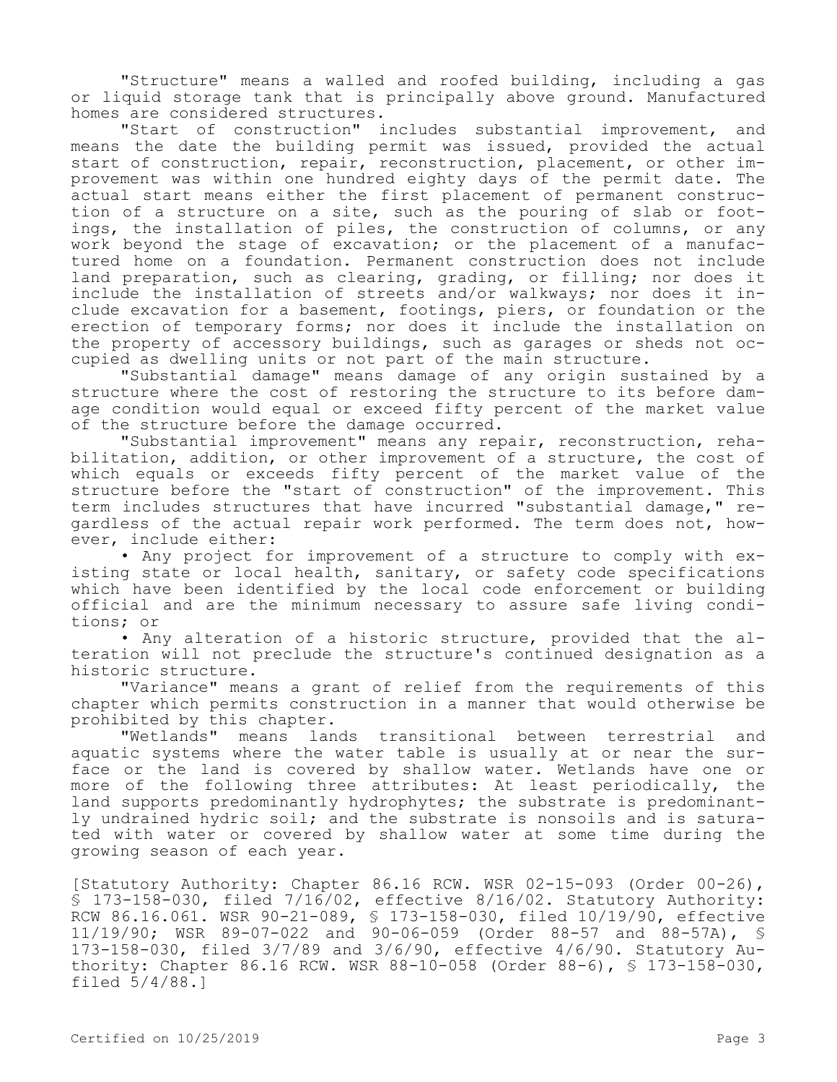"Structure" means a walled and roofed building, including a gas or liquid storage tank that is principally above ground. Manufactured homes are considered structures.

"Start of construction" includes substantial improvement, and means the date the building permit was issued, provided the actual start of construction, repair, reconstruction, placement, or other improvement was within one hundred eighty days of the permit date. The actual start means either the first placement of permanent construction of a structure on a site, such as the pouring of slab or footings, the installation of piles, the construction of columns, or any work beyond the stage of excavation; or the placement of a manufactured home on a foundation. Permanent construction does not include land preparation, such as clearing, grading, or filling; nor does it include the installation of streets and/or walkways; nor does it include excavation for a basement, footings, piers, or foundation or the erection of temporary forms; nor does it include the installation on the property of accessory buildings, such as garages or sheds not occupied as dwelling units or not part of the main structure.

"Substantial damage" means damage of any origin sustained by a structure where the cost of restoring the structure to its before damage condition would equal or exceed fifty percent of the market value of the structure before the damage occurred.

"Substantial improvement" means any repair, reconstruction, rehabilitation, addition, or other improvement of a structure, the cost of which equals or exceeds fifty percent of the market value of the structure before the "start of construction" of the improvement. This term includes structures that have incurred "substantial damage," regardless of the actual repair work performed. The term does not, however, include either:

• Any project for improvement of a structure to comply with existing state or local health, sanitary, or safety code specifications which have been identified by the local code enforcement or building official and are the minimum necessary to assure safe living conditions; or

• Any alteration of a historic structure, provided that the alteration will not preclude the structure's continued designation as a historic structure.

"Variance" means a grant of relief from the requirements of this chapter which permits construction in a manner that would otherwise be prohibited by this chapter.

"Wetlands" means lands transitional between terrestrial and aquatic systems where the water table is usually at or near the surface or the land is covered by shallow water. Wetlands have one or more of the following three attributes: At least periodically, the land supports predominantly hydrophytes; the substrate is predominantly undrained hydric soil; and the substrate is nonsoils and is saturated with water or covered by shallow water at some time during the growing season of each year.

[Statutory Authority: Chapter 86.16 RCW. WSR 02-15-093 (Order 00-26),  $\overline{S}$  173-158-030, filed 7/16/02, effective 8/16/02. Statutory Authority: RCW 86.16.061. WSR 90-21-089, § 173-158-030, filed 10/19/90, effective 11/19/90; WSR 89-07-022 and 90-06-059 (Order 88-57 and 88-57A), § 173-158-030, filed 3/7/89 and 3/6/90, effective 4/6/90. Statutory Authority: Chapter 86.16 RCW. WSR 88-10-058 (Order 88-6), § 173-158-030, filed 5/4/88.]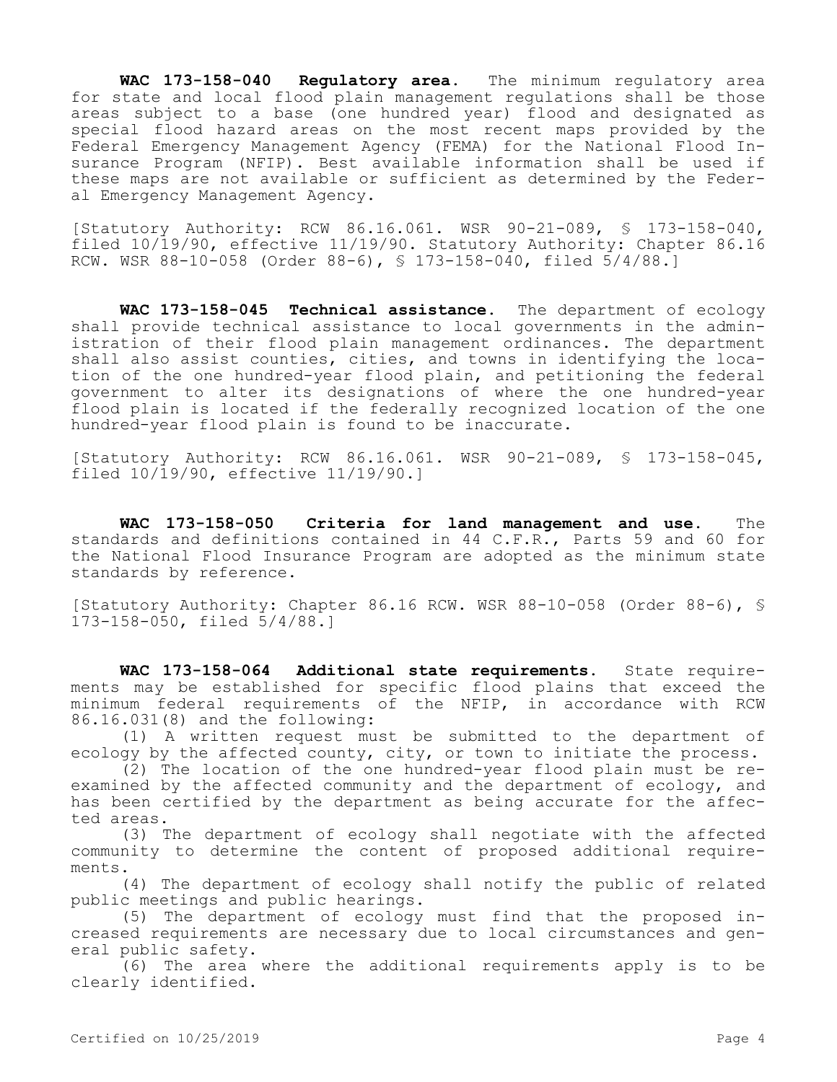**WAC 173-158-040 Regulatory area.** The minimum regulatory area for state and local flood plain management regulations shall be those areas subject to a base (one hundred year) flood and designated as special flood hazard areas on the most recent maps provided by the Federal Emergency Management Agency (FEMA) for the National Flood Insurance Program (NFIP). Best available information shall be used if these maps are not available or sufficient as determined by the Federal Emergency Management Agency.

[Statutory Authority: RCW 86.16.061. WSR 90-21-089, § 173-158-040, filed 10/19/90, effective 11/19/90. Statutory Authority: Chapter 86.16 RCW. WSR 88-10-058 (Order 88-6), § 173-158-040, filed 5/4/88.]

**WAC 173-158-045 Technical assistance.** The department of ecology shall provide technical assistance to local governments in the administration of their flood plain management ordinances. The department shall also assist counties, cities, and towns in identifying the location of the one hundred-year flood plain, and petitioning the federal government to alter its designations of where the one hundred-year flood plain is located if the federally recognized location of the one hundred-year flood plain is found to be inaccurate.

[Statutory Authority: RCW 86.16.061. WSR 90-21-089, § 173-158-045, filed 10/19/90, effective 11/19/90.]

**WAC 173-158-050 Criteria for land management and use.** The standards and definitions contained in 44 C.F.R., Parts 59 and 60 for the National Flood Insurance Program are adopted as the minimum state standards by reference.

[Statutory Authority: Chapter 86.16 RCW. WSR 88-10-058 (Order 88-6), § 173-158-050, filed 5/4/88.]

**WAC 173-158-064 Additional state requirements.** State requirements may be established for specific flood plains that exceed the minimum federal requirements of the NFIP, in accordance with RCW 86.16.031(8) and the following:

(1) A written request must be submitted to the department of ecology by the affected county, city, or town to initiate the process.

(2) The location of the one hundred-year flood plain must be reexamined by the affected community and the department of ecology, and has been certified by the department as being accurate for the affected areas.

(3) The department of ecology shall negotiate with the affected community to determine the content of proposed additional requirements.

(4) The department of ecology shall notify the public of related public meetings and public hearings.

(5) The department of ecology must find that the proposed increased requirements are necessary due to local circumstances and general public safety.

(6) The area where the additional requirements apply is to be clearly identified.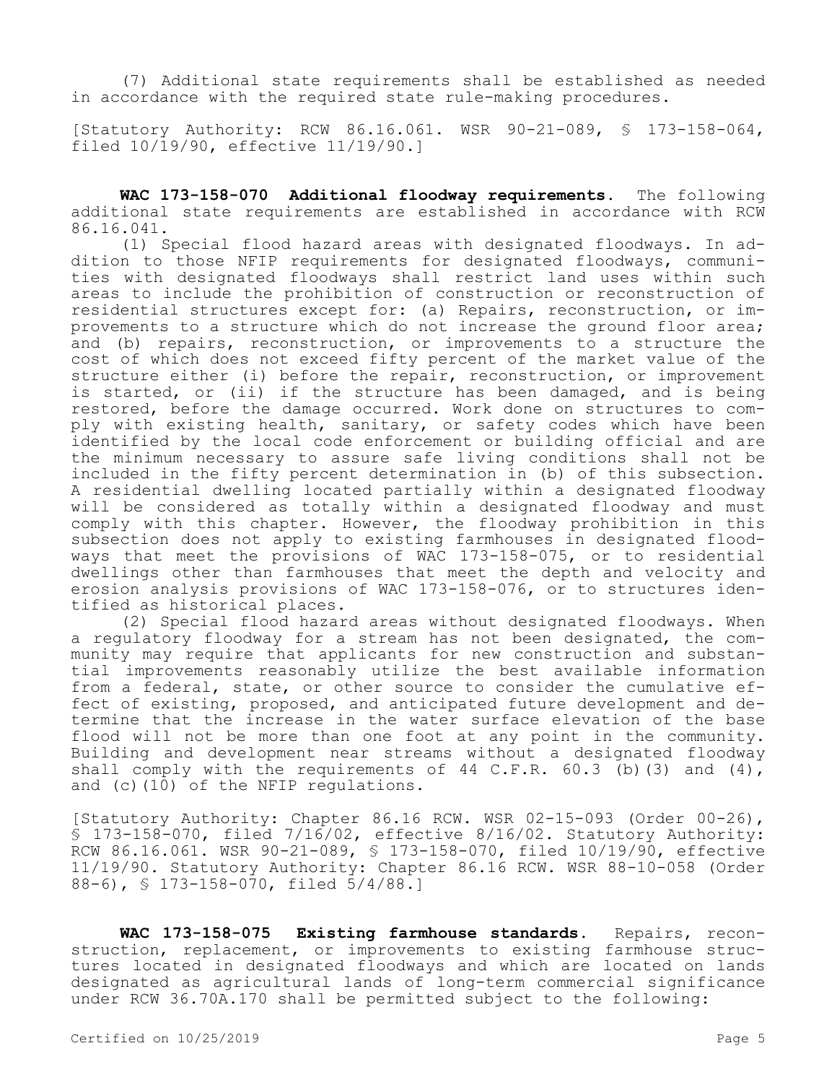(7) Additional state requirements shall be established as needed in accordance with the required state rule-making procedures.

[Statutory Authority: RCW 86.16.061. WSR 90-21-089, § 173-158-064, filed 10/19/90, effective 11/19/90.]

**WAC 173-158-070 Additional floodway requirements.** The following additional state requirements are established in accordance with RCW 86.16.041.

(1) Special flood hazard areas with designated floodways. In addition to those NFIP requirements for designated floodways, communities with designated floodways shall restrict land uses within such areas to include the prohibition of construction or reconstruction of residential structures except for: (a) Repairs, reconstruction, or improvements to a structure which do not increase the ground floor area; and (b) repairs, reconstruction, or improvements to a structure the cost of which does not exceed fifty percent of the market value of the structure either (i) before the repair, reconstruction, or improvement is started, or (ii) if the structure has been damaged, and is being restored, before the damage occurred. Work done on structures to comply with existing health, sanitary, or safety codes which have been identified by the local code enforcement or building official and are the minimum necessary to assure safe living conditions shall not be included in the fifty percent determination in (b) of this subsection. A residential dwelling located partially within a designated floodway will be considered as totally within a designated floodway and must comply with this chapter. However, the floodway prohibition in this subsection does not apply to existing farmhouses in designated floodways that meet the provisions of WAC 173-158-075, or to residential dwellings other than farmhouses that meet the depth and velocity and erosion analysis provisions of WAC 173-158-076, or to structures identified as historical places.

(2) Special flood hazard areas without designated floodways. When a regulatory floodway for a stream has not been designated, the community may require that applicants for new construction and substantial improvements reasonably utilize the best available information from a federal, state, or other source to consider the cumulative effect of existing, proposed, and anticipated future development and determine that the increase in the water surface elevation of the base flood will not be more than one foot at any point in the community. Building and development near streams without a designated floodway shall comply with the requirements of  $44$  C.F.R. 60.3 (b)(3) and (4), and (c)(10) of the NFIP regulations.

[Statutory Authority: Chapter 86.16 RCW. WSR 02-15-093 (Order 00-26), § 173-158-070, filed 7/16/02, effective 8/16/02. Statutory Authority: RCW 86.16.061. WSR 90-21-089, § 173-158-070, filed 10/19/90, effective 11/19/90. Statutory Authority: Chapter 86.16 RCW. WSR 88-10-058 (Order 88-6), § 173-158-070, filed 5/4/88.]

**WAC 173-158-075 Existing farmhouse standards.** Repairs, reconstruction, replacement, or improvements to existing farmhouse structures located in designated floodways and which are located on lands designated as agricultural lands of long-term commercial significance under RCW 36.70A.170 shall be permitted subject to the following: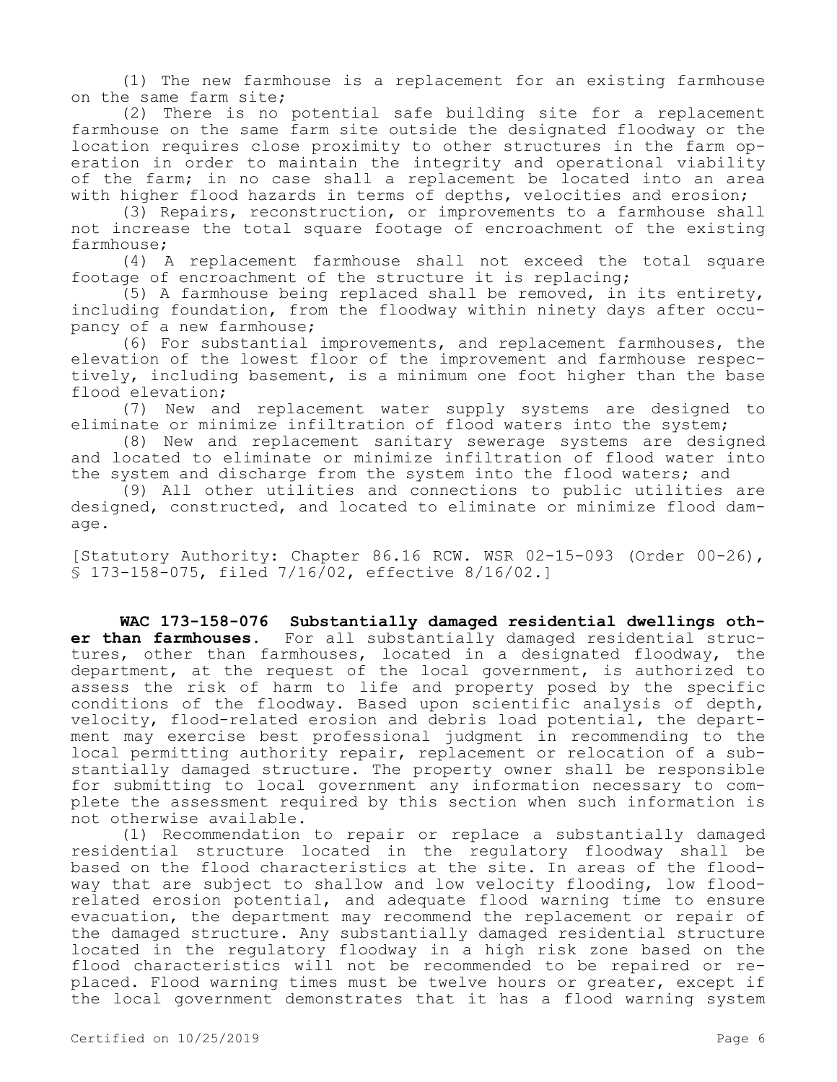(1) The new farmhouse is a replacement for an existing farmhouse on the same farm site;

(2) There is no potential safe building site for a replacement farmhouse on the same farm site outside the designated floodway or the location requires close proximity to other structures in the farm operation in order to maintain the integrity and operational viability of the farm; in no case shall a replacement be located into an area with higher flood hazards in terms of depths, velocities and erosion;

(3) Repairs, reconstruction, or improvements to a farmhouse shall not increase the total square footage of encroachment of the existing farmhouse;

(4) A replacement farmhouse shall not exceed the total square footage of encroachment of the structure it is replacing;

(5) A farmhouse being replaced shall be removed, in its entirety, including foundation, from the floodway within ninety days after occupancy of a new farmhouse;

(6) For substantial improvements, and replacement farmhouses, the elevation of the lowest floor of the improvement and farmhouse respectively, including basement, is a minimum one foot higher than the base flood elevation;

(7) New and replacement water supply systems are designed to eliminate or minimize infiltration of flood waters into the system;

(8) New and replacement sanitary sewerage systems are designed and located to eliminate or minimize infiltration of flood water into the system and discharge from the system into the flood waters; and

(9) All other utilities and connections to public utilities are designed, constructed, and located to eliminate or minimize flood damage.

[Statutory Authority: Chapter 86.16 RCW. WSR 02-15-093 (Order 00-26), § 173-158-075, filed 7/16/02, effective 8/16/02.]

**WAC 173-158-076 Substantially damaged residential dwellings other than farmhouses.** For all substantially damaged residential structures, other than farmhouses, located in a designated floodway, the department, at the request of the local government, is authorized to assess the risk of harm to life and property posed by the specific conditions of the floodway. Based upon scientific analysis of depth, velocity, flood-related erosion and debris load potential, the department may exercise best professional judgment in recommending to the local permitting authority repair, replacement or relocation of a substantially damaged structure. The property owner shall be responsible for submitting to local government any information necessary to complete the assessment required by this section when such information is not otherwise available.

(1) Recommendation to repair or replace a substantially damaged residential structure located in the regulatory floodway shall be based on the flood characteristics at the site. In areas of the floodway that are subject to shallow and low velocity flooding, low floodrelated erosion potential, and adequate flood warning time to ensure evacuation, the department may recommend the replacement or repair of the damaged structure. Any substantially damaged residential structure located in the regulatory floodway in a high risk zone based on the flood characteristics will not be recommended to be repaired or replaced. Flood warning times must be twelve hours or greater, except if the local government demonstrates that it has a flood warning system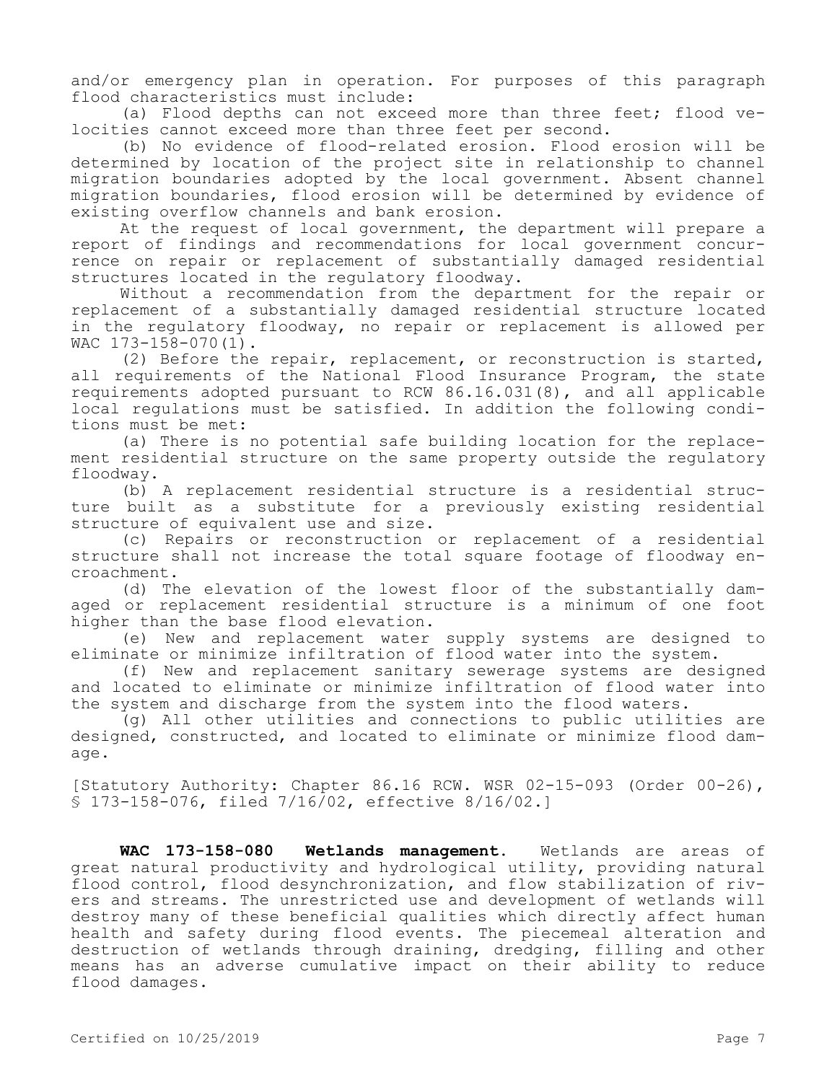and/or emergency plan in operation. For purposes of this paragraph flood characteristics must include:

(a) Flood depths can not exceed more than three feet; flood velocities cannot exceed more than three feet per second.

(b) No evidence of flood-related erosion. Flood erosion will be determined by location of the project site in relationship to channel migration boundaries adopted by the local government. Absent channel migration boundaries, flood erosion will be determined by evidence of existing overflow channels and bank erosion.

At the request of local government, the department will prepare a report of findings and recommendations for local government concurrence on repair or replacement of substantially damaged residential structures located in the regulatory floodway.

Without a recommendation from the department for the repair or replacement of a substantially damaged residential structure located in the regulatory floodway, no repair or replacement is allowed per WAC 173-158-070(1).

(2) Before the repair, replacement, or reconstruction is started, all requirements of the National Flood Insurance Program, the state requirements adopted pursuant to RCW 86.16.031(8), and all applicable local regulations must be satisfied. In addition the following conditions must be met:

(a) There is no potential safe building location for the replacement residential structure on the same property outside the regulatory floodway.

(b) A replacement residential structure is a residential structure built as a substitute for a previously existing residential structure of equivalent use and size.

(c) Repairs or reconstruction or replacement of a residential structure shall not increase the total square footage of floodway encroachment.

(d) The elevation of the lowest floor of the substantially damaged or replacement residential structure is a minimum of one foot higher than the base flood elevation.

(e) New and replacement water supply systems are designed to eliminate or minimize infiltration of flood water into the system.

(f) New and replacement sanitary sewerage systems are designed and located to eliminate or minimize infiltration of flood water into the system and discharge from the system into the flood waters.

(g) All other utilities and connections to public utilities are designed, constructed, and located to eliminate or minimize flood damage.

[Statutory Authority: Chapter 86.16 RCW. WSR 02-15-093 (Order 00-26), § 173-158-076, filed 7/16/02, effective 8/16/02.]

**WAC 173-158-080 Wetlands management.** Wetlands are areas of great natural productivity and hydrological utility, providing natural flood control, flood desynchronization, and flow stabilization of rivers and streams. The unrestricted use and development of wetlands will destroy many of these beneficial qualities which directly affect human health and safety during flood events. The piecemeal alteration and destruction of wetlands through draining, dredging, filling and other means has an adverse cumulative impact on their ability to reduce flood damages.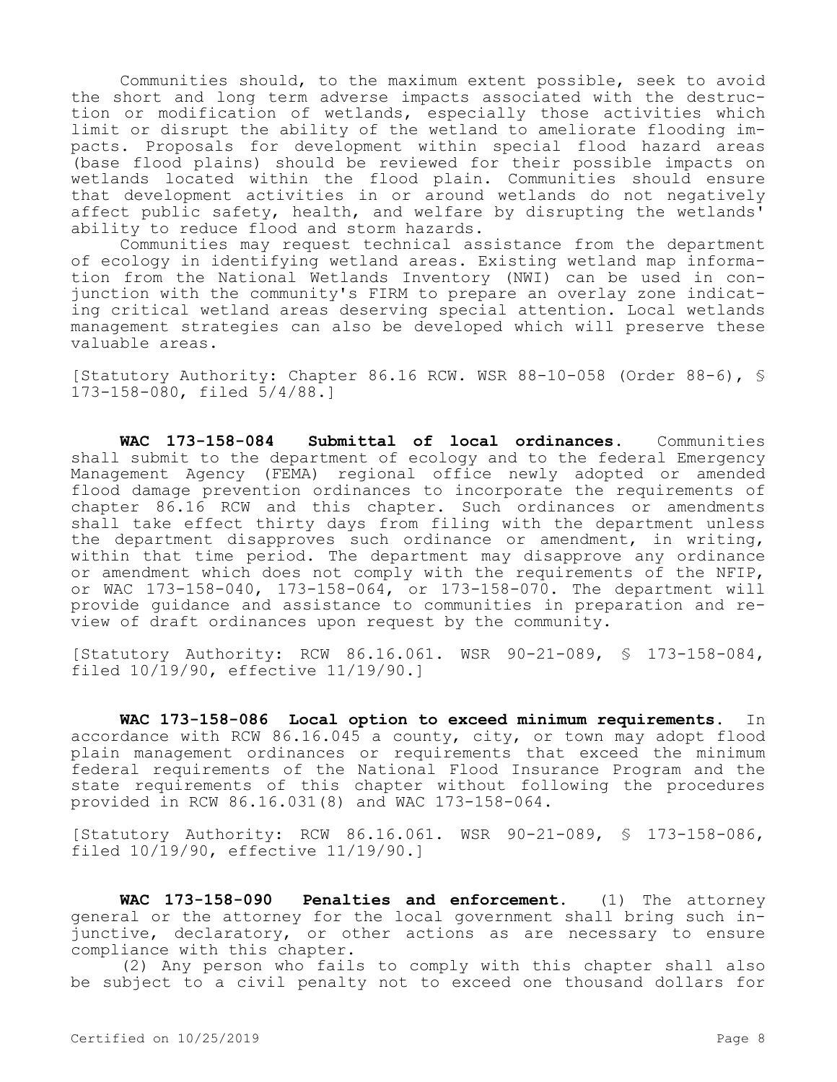Communities should, to the maximum extent possible, seek to avoid the short and long term adverse impacts associated with the destruction or modification of wetlands, especially those activities which limit or disrupt the ability of the wetland to ameliorate flooding impacts. Proposals for development within special flood hazard areas (base flood plains) should be reviewed for their possible impacts on wetlands located within the flood plain. Communities should ensure that development activities in or around wetlands do not negatively affect public safety, health, and welfare by disrupting the wetlands' ability to reduce flood and storm hazards.

Communities may request technical assistance from the department of ecology in identifying wetland areas. Existing wetland map information from the National Wetlands Inventory (NWI) can be used in conjunction with the community's FIRM to prepare an overlay zone indicating critical wetland areas deserving special attention. Local wetlands management strategies can also be developed which will preserve these valuable areas.

[Statutory Authority: Chapter 86.16 RCW. WSR 88-10-058 (Order 88-6), § 173-158-080, filed 5/4/88.]

**WAC 173-158-084 Submittal of local ordinances.** Communities shall submit to the department of ecology and to the federal Emergency Management Agency (FEMA) regional office newly adopted or amended flood damage prevention ordinances to incorporate the requirements of chapter 86.16 RCW and this chapter. Such ordinances or amendments shall take effect thirty days from filing with the department unless the department disapproves such ordinance or amendment, in writing, within that time period. The department may disapprove any ordinance or amendment which does not comply with the requirements of the NFIP, or WAC 173-158-040, 173-158-064, or 173-158-070. The department will provide guidance and assistance to communities in preparation and review of draft ordinances upon request by the community.

[Statutory Authority: RCW 86.16.061. WSR 90-21-089, § 173-158-084, filed 10/19/90, effective 11/19/90.]

**WAC 173-158-086 Local option to exceed minimum requirements.** In accordance with RCW 86.16.045 a county, city, or town may adopt flood plain management ordinances or requirements that exceed the minimum federal requirements of the National Flood Insurance Program and the state requirements of this chapter without following the procedures provided in RCW 86.16.031(8) and WAC 173-158-064.

[Statutory Authority: RCW 86.16.061. WSR 90-21-089, § 173-158-086, filed 10/19/90, effective 11/19/90.]

**WAC 173-158-090 Penalties and enforcement.** (1) The attorney general or the attorney for the local government shall bring such injunctive, declaratory, or other actions as are necessary to ensure compliance with this chapter.

(2) Any person who fails to comply with this chapter shall also be subject to a civil penalty not to exceed one thousand dollars for